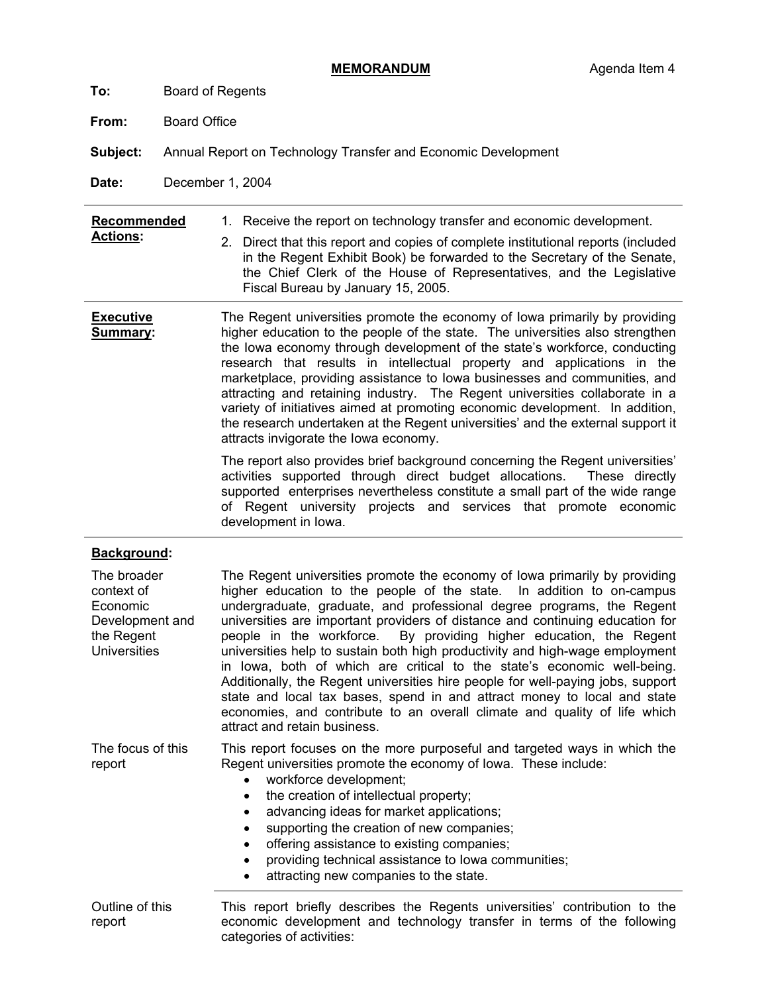- **To:** Board of Regents
- **From:** Board Office
- **Subject:** Annual Report on Technology Transfer and Economic Development
- **Date:** December 1, 2004

| Recommended |  | Receive the report on technology transfer and economic development. |
|-------------|--|---------------------------------------------------------------------|
|-------------|--|---------------------------------------------------------------------|

- **Actions:**  2. Direct that this report and copies of complete institutional reports (included in the Regent Exhibit Book) be forwarded to the Secretary of the Senate, the Chief Clerk of the House of Representatives, and the Legislative Fiscal Bureau by January 15, 2005.
- **Executive Summary:**  The Regent universities promote the economy of Iowa primarily by providing higher education to the people of the state. The universities also strengthen the Iowa economy through development of the state's workforce, conducting research that results in intellectual property and applications in the marketplace, providing assistance to Iowa businesses and communities, and attracting and retaining industry. The Regent universities collaborate in a variety of initiatives aimed at promoting economic development. In addition, the research undertaken at the Regent universities' and the external support it attracts invigorate the Iowa economy.

The report also provides brief background concerning the Regent universities' activities supported through direct budget allocations. These directly supported enterprises nevertheless constitute a small part of the wide range of Regent university projects and services that promote economic development in Iowa.

# **Background:**

| The broader<br>context of<br>Economic<br>Development and<br>the Regent<br><b>Universities</b> | The Regent universities promote the economy of lowa primarily by providing<br>higher education to the people of the state. In addition to on-campus<br>undergraduate, graduate, and professional degree programs, the Regent<br>universities are important providers of distance and continuing education for<br>people in the workforce. By providing higher education, the Regent<br>universities help to sustain both high productivity and high-wage employment<br>in lowa, both of which are critical to the state's economic well-being.<br>Additionally, the Regent universities hire people for well-paying jobs, support<br>state and local tax bases, spend in and attract money to local and state<br>economies, and contribute to an overall climate and quality of life which<br>attract and retain business. |
|-----------------------------------------------------------------------------------------------|----------------------------------------------------------------------------------------------------------------------------------------------------------------------------------------------------------------------------------------------------------------------------------------------------------------------------------------------------------------------------------------------------------------------------------------------------------------------------------------------------------------------------------------------------------------------------------------------------------------------------------------------------------------------------------------------------------------------------------------------------------------------------------------------------------------------------|
| The focus of this<br>report                                                                   | This report focuses on the more purposeful and targeted ways in which the<br>Regent universities promote the economy of Iowa. These include:<br>workforce development;<br>the creation of intellectual property;<br>$\bullet$<br>advancing ideas for market applications;<br>$\bullet$<br>supporting the creation of new companies;<br>$\bullet$<br>offering assistance to existing companies;<br>$\bullet$<br>providing technical assistance to lowa communities;<br>$\bullet$<br>attracting new companies to the state.<br>$\bullet$                                                                                                                                                                                                                                                                                     |
| Outline of this<br>report                                                                     | This report briefly describes the Regents universities' contribution to the<br>economic development and technology transfer in terms of the following<br>categories of activities:                                                                                                                                                                                                                                                                                                                                                                                                                                                                                                                                                                                                                                         |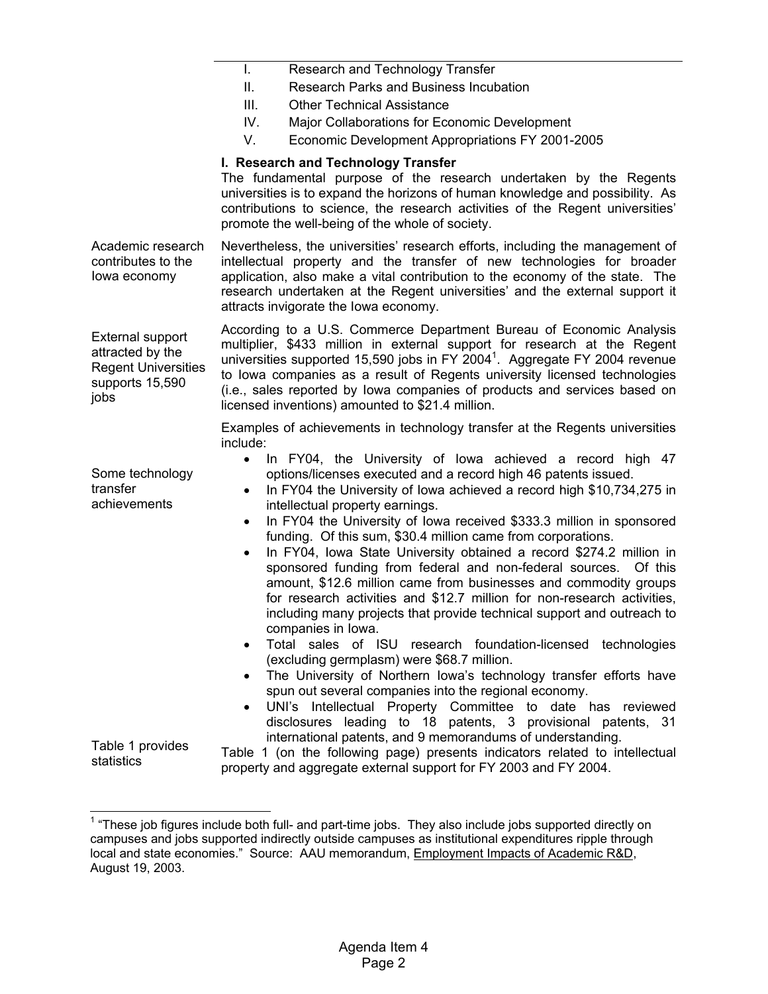I. Research and Technology Transfer II. Research Parks and Business Incubation III. Other Technical Assistance IV. Major Collaborations for Economic Development V. Economic Development Appropriations FY 2001-2005 Academic research contributes to the Iowa economy External support attracted by the Regent Universities supports 15,590 jobs Some technology transfer achievements Table 1 provides statistics **I. Research and Technology Transfer**  The fundamental purpose of the research undertaken by the Regents universities is to expand the horizons of human knowledge and possibility. As contributions to science, the research activities of the Regent universities' promote the well-being of the whole of society. Nevertheless, the universities' research efforts, including the management of intellectual property and the transfer of new technologies for broader application, also make a vital contribution to the economy of the state. The research undertaken at the Regent universities' and the external support it attracts invigorate the Iowa economy. According to a U.S. Commerce Department Bureau of Economic Analysis multiplier, \$433 million in external support for research at the Regent universities supported 15,590 jobs in FY 2004<sup>1</sup>. Aggregate FY 2004 revenue to Iowa companies as a result of Regents university licensed technologies (i.e., sales reported by Iowa companies of products and services based on licensed inventions) amounted to \$21.4 million. Examples of achievements in technology transfer at the Regents universities include: • In FY04, the University of Iowa achieved a record high 47 options/licenses executed and a record high 46 patents issued. • In FY04 the University of Iowa achieved a record high \$10,734,275 in intellectual property earnings. In FY04 the University of Iowa received \$333.3 million in sponsored funding. Of this sum, \$30.4 million came from corporations. In FY04, Iowa State University obtained a record \$274.2 million in sponsored funding from federal and non-federal sources. Of this amount, \$12.6 million came from businesses and commodity groups for research activities and \$12.7 million for non-research activities, including many projects that provide technical support and outreach to companies in Iowa. • Total sales of ISU research foundation-licensed technologies (excluding germplasm) were \$68.7 million. The University of Northern Iowa's technology transfer efforts have spun out several companies into the regional economy. UNI's Intellectual Property Committee to date has reviewed disclosures leading to 18 patents, 3 provisional patents, 31 international patents, and 9 memorandums of understanding. Table 1 (on the following page) presents indicators related to intellectual property and aggregate external support for FY 2003 and FY 2004.

 $1$  "These job figures include both full- and part-time jobs. They also include jobs supported directly on campuses and jobs supported indirectly outside campuses as institutional expenditures ripple through local and state economies." Source: AAU memorandum, Employment Impacts of Academic R&D, August 19, 2003.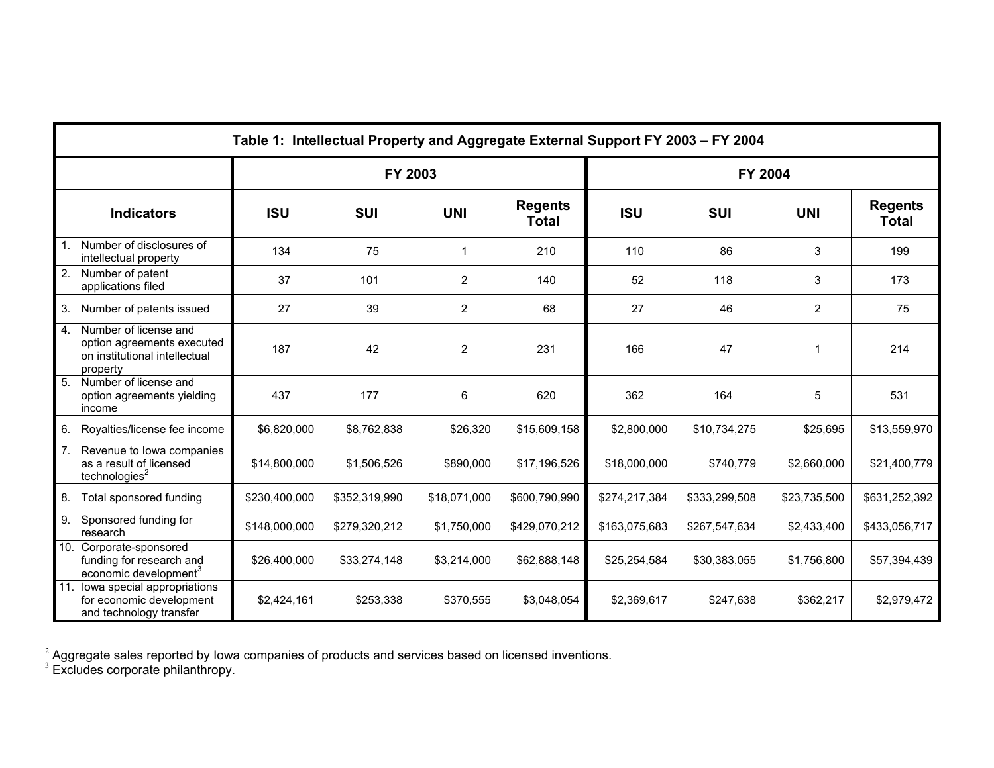|                | Table 1: Intellectual Property and Aggregate External Support FY 2003 - FY 2004                  |               |               |                |                                |               |               |                |                                |
|----------------|--------------------------------------------------------------------------------------------------|---------------|---------------|----------------|--------------------------------|---------------|---------------|----------------|--------------------------------|
|                |                                                                                                  | FY 2003       |               |                |                                | FY 2004       |               |                |                                |
|                | <b>Indicators</b>                                                                                | <b>ISU</b>    | <b>SUI</b>    | <b>UNI</b>     | <b>Regents</b><br><b>Total</b> | <b>ISU</b>    | <b>SUI</b>    | <b>UNI</b>     | <b>Regents</b><br><b>Total</b> |
| 1 <sub>1</sub> | Number of disclosures of<br>intellectual property                                                | 134           | 75            | $\mathbf 1$    | 210                            | 110           | 86            | 3              | 199                            |
| 2.             | Number of patent<br>applications filed                                                           | 37            | 101           | $\overline{c}$ | 140                            | 52            | 118           | 3              | 173                            |
| 3.             | Number of patents issued                                                                         | 27            | 39            | $\overline{2}$ | 68                             | 27            | 46            | $\overline{2}$ | 75                             |
| 4.             | Number of license and<br>option agreements executed<br>on institutional intellectual<br>property | 187           | 42            | $\overline{c}$ | 231                            | 166           | 47            | 1              | 214                            |
|                | 5. Number of license and<br>option agreements yielding<br>income                                 | 437           | 177           | 6              | 620                            | 362           | 164           | 5              | 531                            |
| 6.             | Royalties/license fee income                                                                     | \$6,820,000   | \$8,762,838   | \$26,320       | \$15,609,158                   | \$2,800,000   | \$10,734,275  | \$25,695       | \$13,559,970                   |
| 7.             | Revenue to lowa companies<br>as a result of licensed<br>technologies <sup>2</sup>                | \$14,800,000  | \$1,506,526   | \$890,000      | \$17,196,526                   | \$18,000,000  | \$740,779     | \$2,660,000    | \$21,400,779                   |
| 8.             | Total sponsored funding                                                                          | \$230,400,000 | \$352,319,990 | \$18,071,000   | \$600,790,990                  | \$274,217,384 | \$333,299,508 | \$23,735,500   | \$631,252,392                  |
| 9.             | Sponsored funding for<br>research                                                                | \$148,000,000 | \$279,320,212 | \$1,750,000    | \$429,070,212                  | \$163,075,683 | \$267,547,634 | \$2,433,400    | \$433,056,717                  |
| 10.            | Corporate-sponsored<br>funding for research and<br>economic development <sup>3</sup>             | \$26,400,000  | \$33,274,148  | \$3,214,000    | \$62,888,148                   | \$25,254,584  | \$30,383,055  | \$1,756,800    | \$57,394,439                   |
|                | 11. Iowa special appropriations<br>for economic development<br>and technology transfer           | \$2,424,161   | \$253,338     | \$370,555      | \$3,048,054                    | \$2,369,617   | \$247,638     | \$362,217      | \$2,979,472                    |

 $^2$  Aggregate sales reported by Iowa companies of products and services based on licensed inventions.<br><sup>3</sup> Excludes corporate philanthropy.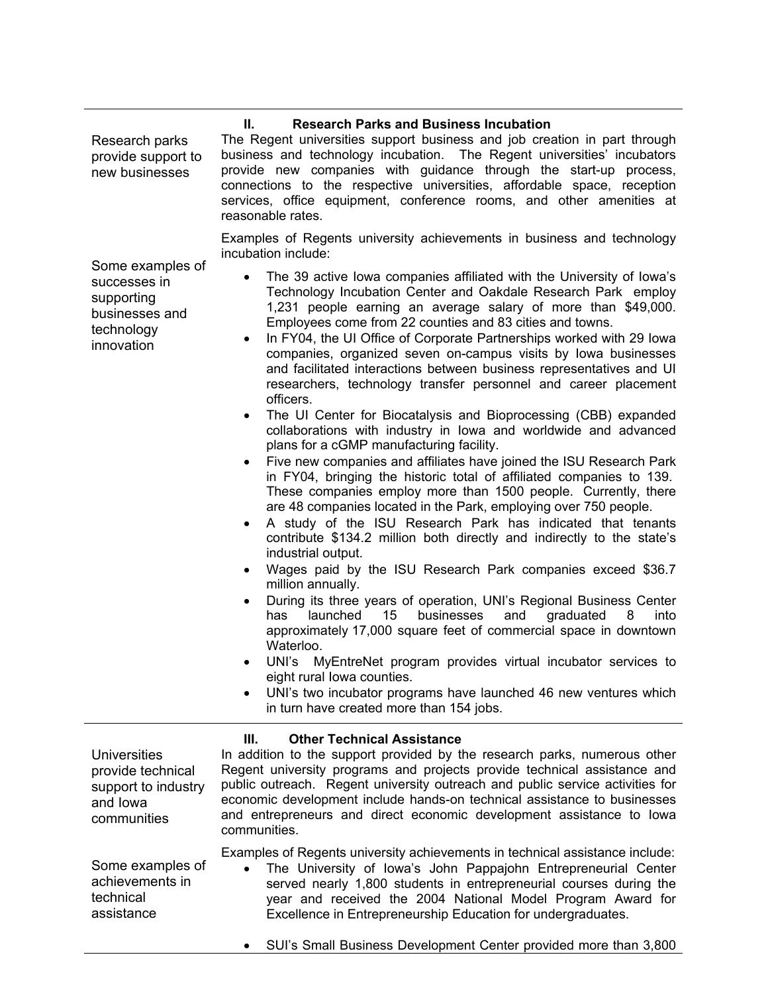# **II. Research Parks and Business Incubation**

Research parks provide support to new businesses

The Regent universities support business and job creation in part through business and technology incubation. The Regent universities' incubators provide new companies with guidance through the start-up process, connections to the respective universities, affordable space, reception services, office equipment, conference rooms, and other amenities at reasonable rates.

Examples of Regents university achievements in business and technology incubation include:

- Some examples of successes in supporting businesses and technology innovation
- The 39 active Iowa companies affiliated with the University of Iowa's Technology Incubation Center and Oakdale Research Park employ 1,231 people earning an average salary of more than \$49,000. Employees come from 22 counties and 83 cities and towns.
- In FY04, the UI Office of Corporate Partnerships worked with 29 Iowa companies, organized seven on-campus visits by Iowa businesses and facilitated interactions between business representatives and UI researchers, technology transfer personnel and career placement officers.
- The UI Center for Biocatalysis and Bioprocessing (CBB) expanded collaborations with industry in Iowa and worldwide and advanced plans for a cGMP manufacturing facility.
- Five new companies and affiliates have joined the ISU Research Park in FY04, bringing the historic total of affiliated companies to 139. These companies employ more than 1500 people. Currently, there are 48 companies located in the Park, employing over 750 people.
- A study of the ISU Research Park has indicated that tenants contribute \$134.2 million both directly and indirectly to the state's industrial output.
- Wages paid by the ISU Research Park companies exceed \$36.7 million annually.
- During its three years of operation, UNI's Regional Business Center has launched 15 businesses and graduated 8 into approximately 17,000 square feet of commercial space in downtown Waterloo.
- UNI's MyEntreNet program provides virtual incubator services to eight rural Iowa counties.
- UNI's two incubator programs have launched 46 new ventures which in turn have created more than 154 jobs.

# **III. Other Technical Assistance**

**Universities** provide technical support to industry and Iowa communities

achievements in

technical assistance In addition to the support provided by the research parks, numerous other Regent university programs and projects provide technical assistance and public outreach. Regent university outreach and public service activities for economic development include hands-on technical assistance to businesses and entrepreneurs and direct economic development assistance to Iowa communities.

Examples of Regents university achievements in technical assistance include:

Some examples of • The University of Iowa's John Pappajohn Entrepreneurial Center served nearly 1,800 students in entrepreneurial courses during the year and received the 2004 National Model Program Award for Excellence in Entrepreneurship Education for undergraduates.

• SUI's Small Business Development Center provided more than 3,800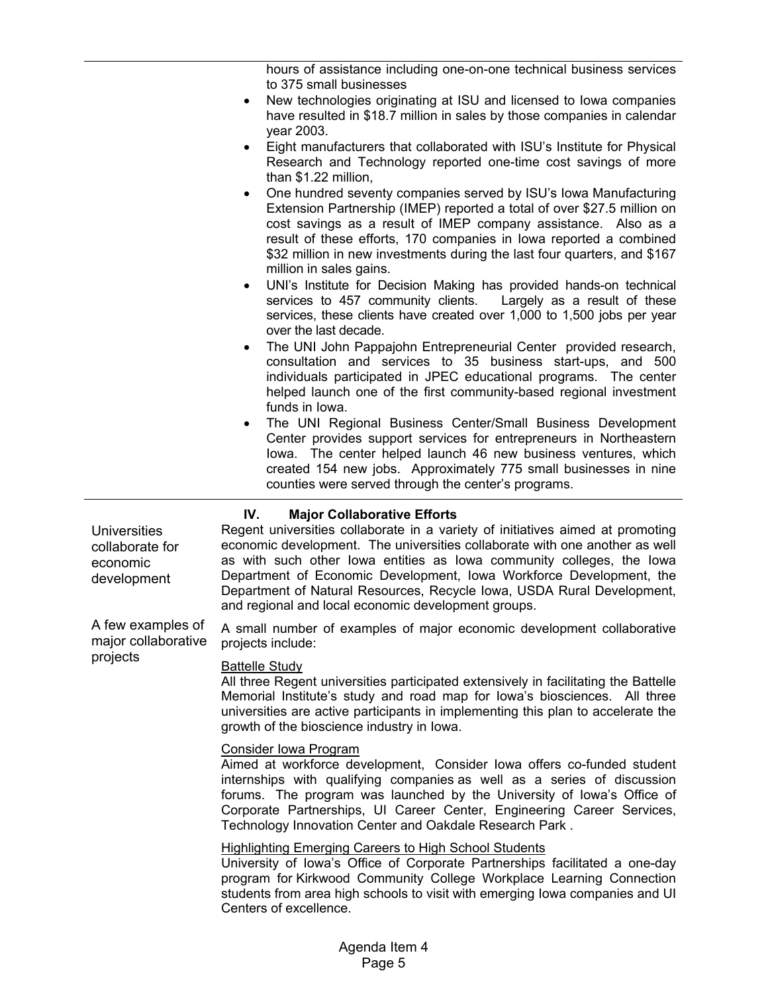hours of assistance including one-on-one technical business services to 375 small businesses • New technologies originating at ISU and licensed to Iowa companies have resulted in \$18.7 million in sales by those companies in calendar year 2003. • Eight manufacturers that collaborated with ISU's Institute for Physical Research and Technology reported one-time cost savings of more than \$1.22 million, • One hundred seventy companies served by ISU's Iowa Manufacturing Extension Partnership (IMEP) reported a total of over \$27.5 million on cost savings as a result of IMEP company assistance. Also as a result of these efforts, 170 companies in Iowa reported a combined \$32 million in new investments during the last four quarters, and \$167 million in sales gains. • UNI's Institute for Decision Making has provided hands-on technical services to 457 community clients. Largely as a result of these services, these clients have created over 1,000 to 1,500 jobs per year over the last decade. • The UNI John Pappajohn Entrepreneurial Center provided research, consultation and services to 35 business start-ups, and 500 individuals participated in JPEC educational programs. The center helped launch one of the first community-based regional investment funds in Iowa. • The UNI Regional Business Center/Small Business Development Center provides support services for entrepreneurs in Northeastern Iowa. The center helped launch 46 new business ventures, which created 154 new jobs. Approximately 775 small businesses in nine counties were served through the center's programs. **Universities** collaborate for economic development A few examples of major collaborative projects **IV. Major Collaborative Efforts**  Regent universities collaborate in a variety of initiatives aimed at promoting economic development. The universities collaborate with one another as well as with such other Iowa entities as Iowa community colleges, the Iowa Department of Economic Development, Iowa Workforce Development, the Department of Natural Resources, Recycle Iowa, USDA Rural Development, and regional and local economic development groups. A small number of examples of major economic development collaborative projects include: Battelle Study All three Regent universities participated extensively in facilitating the Battelle Memorial Institute's study and road map for Iowa's biosciences. All three universities are active participants in implementing this plan to accelerate the growth of the bioscience industry in Iowa. Consider Iowa Program Aimed at workforce development, Consider Iowa offers co-funded student internships with qualifying companies as well as a series of discussion forums. The program was launched by the University of Iowa's Office of Corporate Partnerships, UI Career Center, Engineering Career Services, Technology Innovation Center and Oakdale Research Park . Highlighting Emerging Careers to High School Students University of Iowa's Office of Corporate Partnerships facilitated a one-day program for Kirkwood Community College Workplace Learning Connection students from area high schools to visit with emerging Iowa companies and UI Centers of excellence.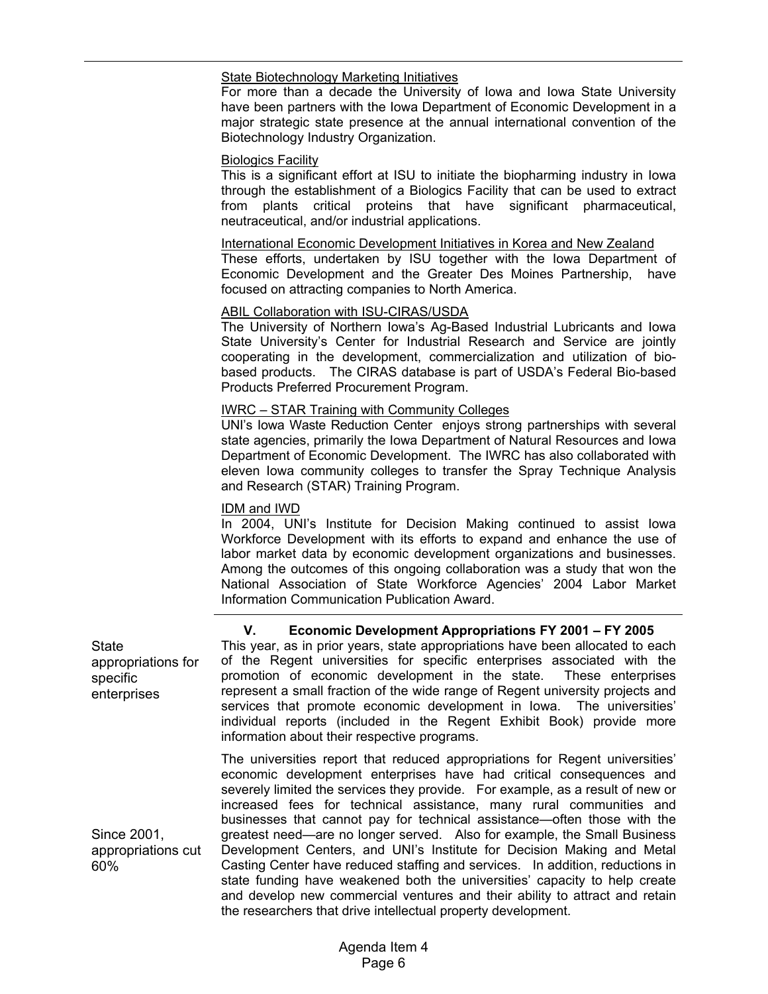#### State Biotechnology Marketing Initiatives

For more than a decade the University of Iowa and Iowa State University have been partners with the Iowa Department of Economic Development in a major strategic state presence at the annual international convention of the Biotechnology Industry Organization.

#### Biologics Facility

This is a significant effort at ISU to initiate the biopharming industry in Iowa through the establishment of a Biologics Facility that can be used to extract from plants critical proteins that have significant pharmaceutical, neutraceutical, and/or industrial applications.

#### International Economic Development Initiatives in Korea and New Zealand

These efforts, undertaken by ISU together with the Iowa Department of Economic Development and the Greater Des Moines Partnership, have focused on attracting companies to North America.

# ABIL Collaboration with ISU-CIRAS/USDA

The University of Northern Iowa's Ag-Based Industrial Lubricants and Iowa State University's Center for Industrial Research and Service are jointly cooperating in the development, commercialization and utilization of biobased products. The CIRAS database is part of USDA's Federal Bio-based Products Preferred Procurement Program.

#### IWRC – STAR Training with Community Colleges

UNI's Iowa Waste Reduction Center enjoys strong partnerships with several state agencies, primarily the Iowa Department of Natural Resources and Iowa Department of Economic Development. The IWRC has also collaborated with eleven Iowa community colleges to transfer the Spray Technique Analysis and Research (STAR) Training Program.

# IDM and IWD

In 2004, UNI's Institute for Decision Making continued to assist Iowa Workforce Development with its efforts to expand and enhance the use of labor market data by economic development organizations and businesses. Among the outcomes of this ongoing collaboration was a study that won the National Association of State Workforce Agencies' 2004 Labor Market Information Communication Publication Award.

# **V. Economic Development Appropriations FY 2001 – FY 2005**

Casting Center have reduced staffing and services. In addition, reductions in state funding have weakened both the universities' capacity to help create and develop new commercial ventures and their ability to attract and retain

**State** appropriations for specific enterprises Since 2001, This year, as in prior years, state appropriations have been allocated to each of the Regent universities for specific enterprises associated with the promotion of economic development in the state. These enterprises represent a small fraction of the wide range of Regent university projects and services that promote economic development in Iowa. The universities' individual reports (included in the Regent Exhibit Book) provide more information about their respective programs. The universities report that reduced appropriations for Regent universities' economic development enterprises have had critical consequences and severely limited the services they provide. For example, as a result of new or increased fees for technical assistance, many rural communities and businesses that cannot pay for technical assistance—often those with the greatest need—are no longer served. Also for example, the Small Business Development Centers, and UNI's Institute for Decision Making and Metal

appropriations cut 60%

the researchers that drive intellectual property development.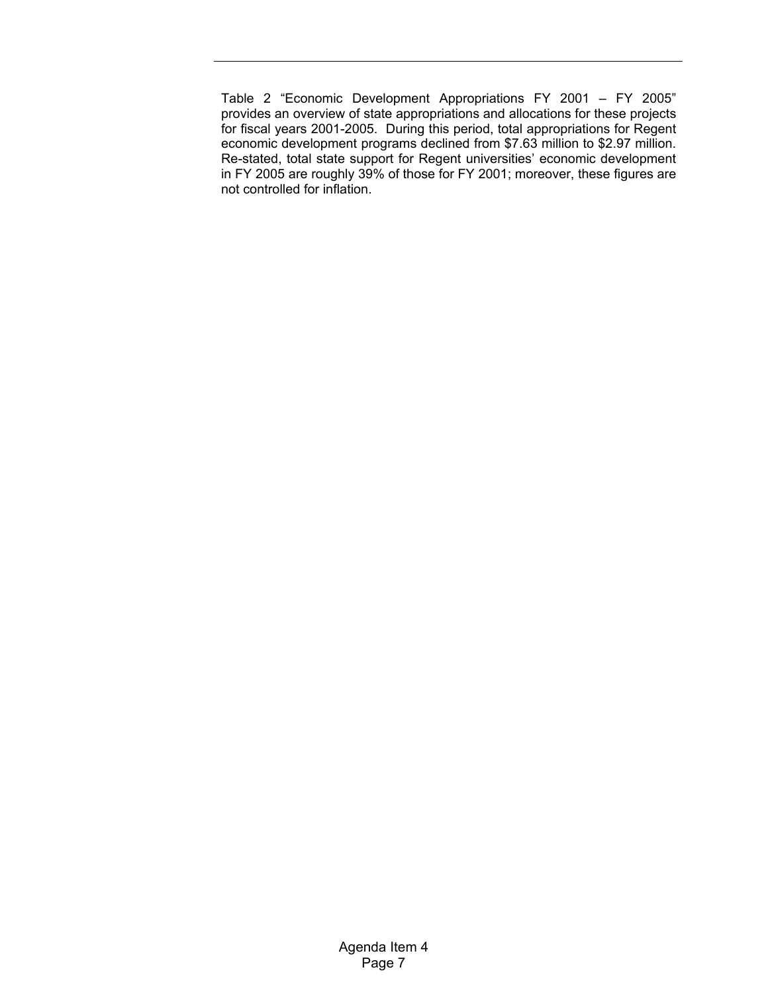Table 2 "Economic Development Appropriations FY 2001 – FY 2005" provides an overview of state appropriations and allocations for these projects for fiscal years 2001-2005. During this period, total appropriations for Regent economic development programs declined from \$7.63 million to \$2.97 million. Re-stated, total state support for Regent universities' economic development in FY 2005 are roughly 39% of those for FY 2001; moreover, these figures are not controlled for inflation.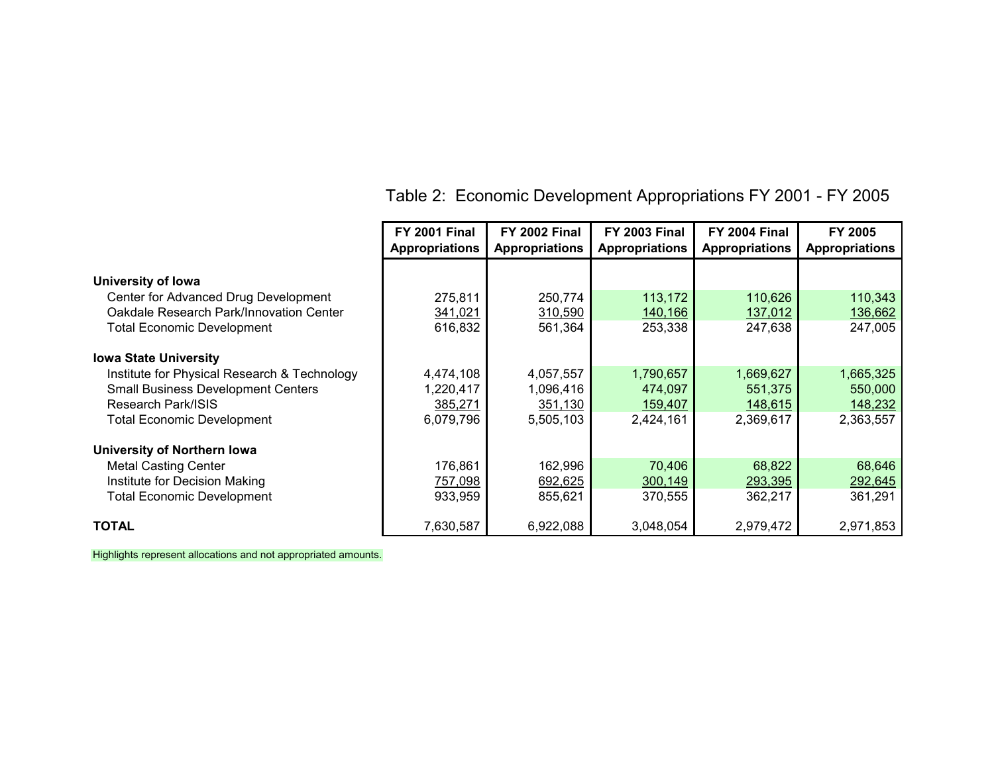|                                              | <b>FY 2001 Final</b>  | <b>FY 2002 Final</b>  | <b>FY 2003 Final</b>  | <b>FY 2004 Final</b>  | FY 2005               |
|----------------------------------------------|-----------------------|-----------------------|-----------------------|-----------------------|-----------------------|
|                                              | <b>Appropriations</b> | <b>Appropriations</b> | <b>Appropriations</b> | <b>Appropriations</b> | <b>Appropriations</b> |
|                                              |                       |                       |                       |                       |                       |
| University of Iowa                           |                       |                       |                       |                       |                       |
| Center for Advanced Drug Development         | 275,811               | 250,774               | 113,172               | 110,626               | 110,343               |
| Oakdale Research Park/Innovation Center      | 341,021               | 310,590               | 140,166               | 137,012               | 136,662               |
| <b>Total Economic Development</b>            | 616,832               | 561,364               | 253,338               | 247,638               | 247,005               |
| <b>Iowa State University</b>                 |                       |                       |                       |                       |                       |
| Institute for Physical Research & Technology | 4,474,108             | 4,057,557             | 1,790,657             | 1,669,627             | 1,665,325             |
| <b>Small Business Development Centers</b>    | 1,220,417             | 1,096,416             | 474,097               | 551,375               | 550,000               |
| Research Park/ISIS                           | 385,271               | 351,130               | 159,407               | 148,615               | 148,232               |
| <b>Total Economic Development</b>            | 6,079,796             | 5,505,103             | 2,424,161             | 2,369,617             | 2,363,557             |
| University of Northern Iowa                  |                       |                       |                       |                       |                       |
| <b>Metal Casting Center</b>                  | 176,861               | 162,996               | 70,406                | 68,822                | 68,646                |
| Institute for Decision Making                | 757,098               | 692,625               | 300,149               | 293,395               | 292,645               |
| <b>Total Economic Development</b>            | 933,959               | 855,621               | 370,555               | 362,217               | 361,291               |
| <b>TOTAL</b>                                 | 7,630,587             | 6,922,088             | 3,048,054             | 2,979,472             | 2,971,853             |

# Table 2: Economic Development Appropriations FY 2001 - FY 2005

Highlights represent allocations and not appropriated amounts.